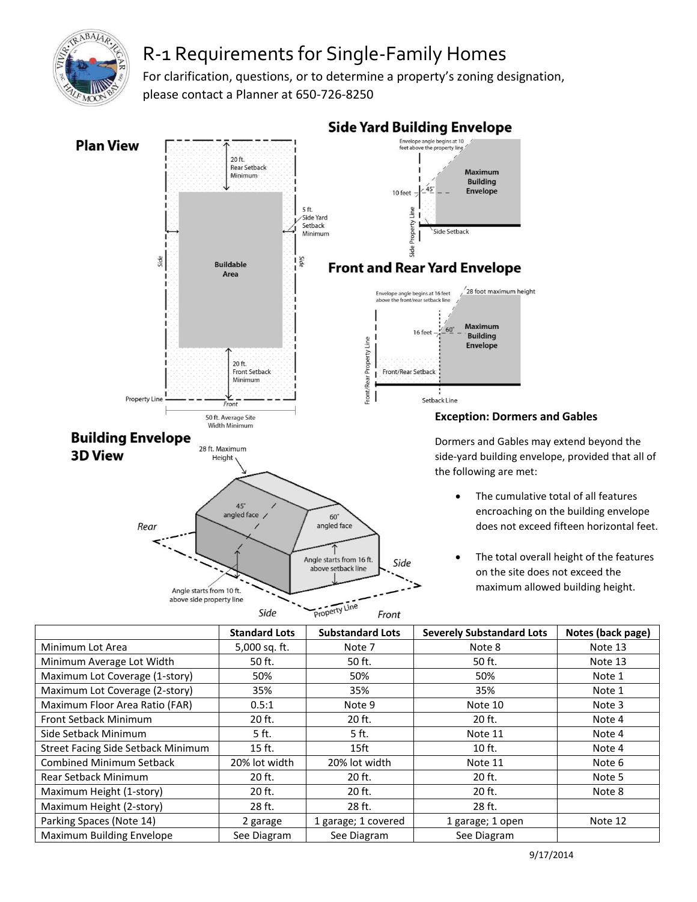

## R-1 Requirements for Single-Family Homes

For clarification, questions, or to determine a property's zoning designation, please contact a Planner at 650-726-8250



Property Line Side Front

## **Exception: Dormers and Gables**

Dormers and Gables may extend beyond the side-yard building envelope, provided that all of

- The cumulative total of all features encroaching on the building envelope does not exceed fifteen horizontal feet.
- The total overall height of the features on the site does not exceed the maximum allowed building height.

|                                           | <b>Standard Lots</b> | <b>Substandard Lots</b> | <b>Severely Substandard Lots</b> | Notes (back page) |
|-------------------------------------------|----------------------|-------------------------|----------------------------------|-------------------|
| Minimum Lot Area                          | 5,000 sq. ft.        | Note 7                  | Note 8                           | Note 13           |
| Minimum Average Lot Width                 | 50 ft.               | 50 ft.                  | 50 ft.                           | Note 13           |
| Maximum Lot Coverage (1-story)            | 50%                  | 50%                     | 50%                              | Note 1            |
| Maximum Lot Coverage (2-story)            | 35%                  | 35%                     | 35%                              | Note 1            |
| Maximum Floor Area Ratio (FAR)            | 0.5:1                | Note 9                  | Note 10                          | Note 3            |
| <b>Front Setback Minimum</b>              | 20 ft.               | 20 ft.                  | 20 ft.                           | Note 4            |
| Side Setback Minimum                      | 5 ft.                | 5 ft.                   | Note 11                          | Note 4            |
| <b>Street Facing Side Setback Minimum</b> | 15 ft.               | 15 <sup>ft</sup>        | 10 ft.                           | Note 4            |
| <b>Combined Minimum Setback</b>           | 20% lot width        | 20% lot width           | Note 11                          | Note 6            |
| <b>Rear Setback Minimum</b>               | 20 ft.               | 20 ft.                  | 20 ft.                           | Note 5            |
| Maximum Height (1-story)                  | 20 ft.               | 20 ft.                  | 20 ft.                           | Note 8            |
| Maximum Height (2-story)                  | 28 ft.               | 28 ft.                  | 28 ft.                           |                   |
| Parking Spaces (Note 14)                  | 2 garage             | 1 garage; 1 covered     | 1 garage; 1 open                 | Note 12           |
| Maximum Building Envelope                 | See Diagram          | See Diagram             | See Diagram                      |                   |